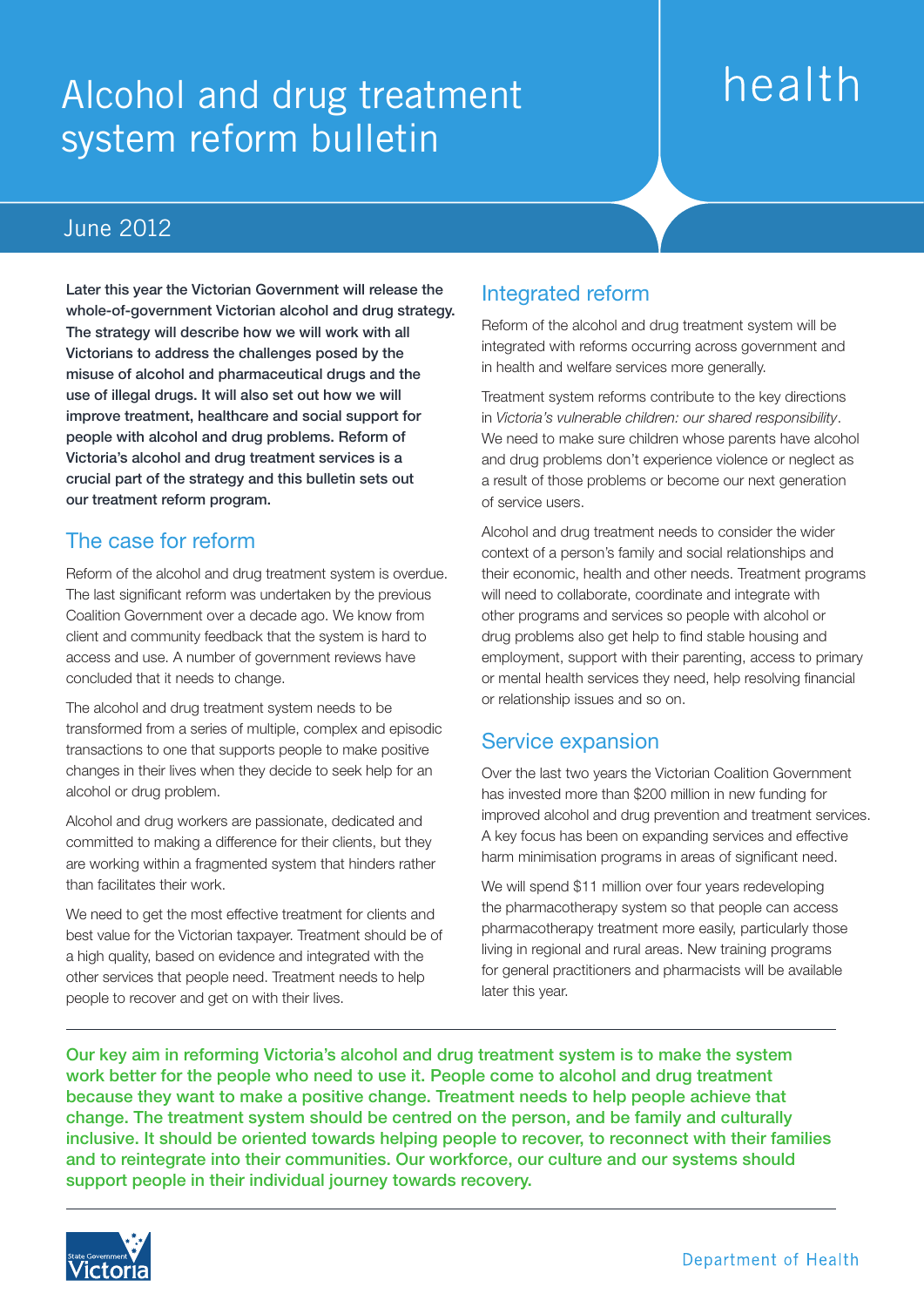## Alcohol and drug treatment system reform bulletin

# health

### June 2012

Later this year the Victorian Government will release the whole-of-government Victorian alcohol and drug strategy. The strategy will describe how we will work with all Victorians to address the challenges posed by the misuse of alcohol and pharmaceutical drugs and the use of illegal drugs. It will also set out how we will improve treatment, healthcare and social support for people with alcohol and drug problems. Reform of Victoria's alcohol and drug treatment services is a crucial part of the strategy and this bulletin sets out our treatment reform program.

#### The case for reform

Reform of the alcohol and drug treatment system is overdue. The last significant reform was undertaken by the previous Coalition Government over a decade ago. We know from client and community feedback that the system is hard to access and use. A number of government reviews have concluded that it needs to change.

The alcohol and drug treatment system needs to be transformed from a series of multiple, complex and episodic transactions to one that supports people to make positive changes in their lives when they decide to seek help for an alcohol or drug problem.

Alcohol and drug workers are passionate, dedicated and committed to making a difference for their clients, but they are working within a fragmented system that hinders rather than facilitates their work.

We need to get the most effective treatment for clients and best value for the Victorian taxpayer. Treatment should be of a high quality, based on evidence and integrated with the other services that people need. Treatment needs to help people to recover and get on with their lives.

#### Integrated reform

Reform of the alcohol and drug treatment system will be integrated with reforms occurring across government and in health and welfare services more generally.

Treatment system reforms contribute to the key directions in *Victoria's vulnerable children: our shared responsibility*. We need to make sure children whose parents have alcohol and drug problems don't experience violence or neglect as a result of those problems or become our next generation of service users.

Alcohol and drug treatment needs to consider the wider context of a person's family and social relationships and their economic, health and other needs. Treatment programs will need to collaborate, coordinate and integrate with other programs and services so people with alcohol or drug problems also get help to find stable housing and employment, support with their parenting, access to primary or mental health services they need, help resolving financial or relationship issues and so on.

#### Service expansion

Over the last two years the Victorian Coalition Government has invested more than \$200 million in new funding for improved alcohol and drug prevention and treatment services. A key focus has been on expanding services and effective harm minimisation programs in areas of significant need.

We will spend \$11 million over four years redeveloping the pharmacotherapy system so that people can access pharmacotherapy treatment more easily, particularly those living in regional and rural areas. New training programs for general practitioners and pharmacists will be available later this year.

Our key aim in reforming Victoria's alcohol and drug treatment system is to make the system work better for the people who need to use it. People come to alcohol and drug treatment because they want to make a positive change. Treatment needs to help people achieve that change. The treatment system should be centred on the person, and be family and culturally inclusive. It should be oriented towards helping people to recover, to reconnect with their families and to reintegrate into their communities. Our workforce, our culture and our systems should support people in their individual journey towards recovery.